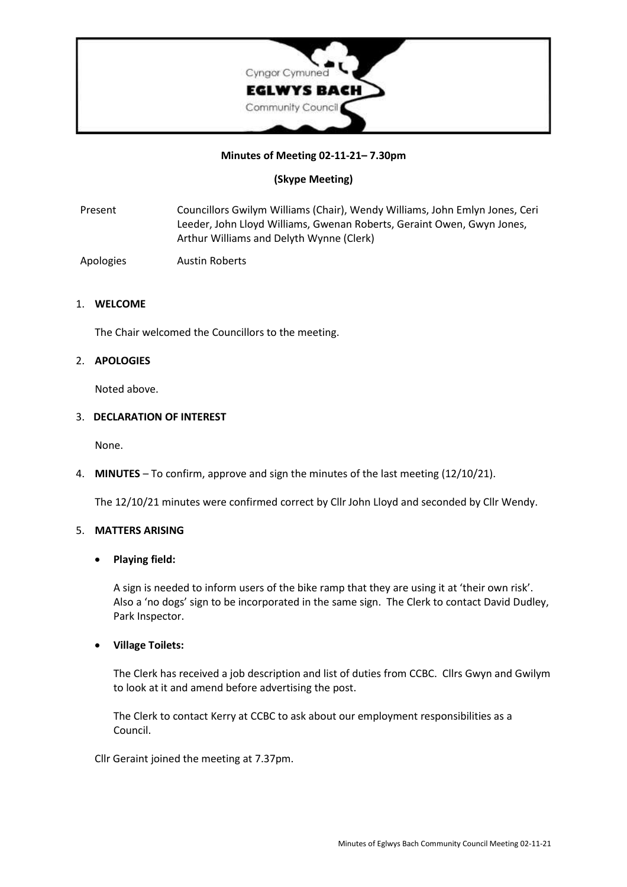

# **Minutes of Meeting 02-11-21– 7.30pm**

# **(Skype Meeting)**

Present Councillors Gwilym Williams (Chair), Wendy Williams, John Emlyn Jones, Ceri Leeder, John Lloyd Williams, Gwenan Roberts, Geraint Owen, Gwyn Jones, Arthur Williams and Delyth Wynne (Clerk)

Apologies Austin Roberts

#### 1. **WELCOME**

The Chair welcomed the Councillors to the meeting.

### 2. **APOLOGIES**

Noted above.

### 3. **DECLARATION OF INTEREST**

None.

4. **MINUTES** – To confirm, approve and sign the minutes of the last meeting (12/10/21).

The 12/10/21 minutes were confirmed correct by Cllr John Lloyd and seconded by Cllr Wendy.

### 5. **MATTERS ARISING**

# • **Playing field:**

A sign is needed to inform users of the bike ramp that they are using it at 'their own risk'. Also a 'no dogs' sign to be incorporated in the same sign. The Clerk to contact David Dudley, Park Inspector.

#### • **Village Toilets:**

The Clerk has received a job description and list of duties from CCBC. Cllrs Gwyn and Gwilym to look at it and amend before advertising the post.

The Clerk to contact Kerry at CCBC to ask about our employment responsibilities as a Council.

Cllr Geraint joined the meeting at 7.37pm.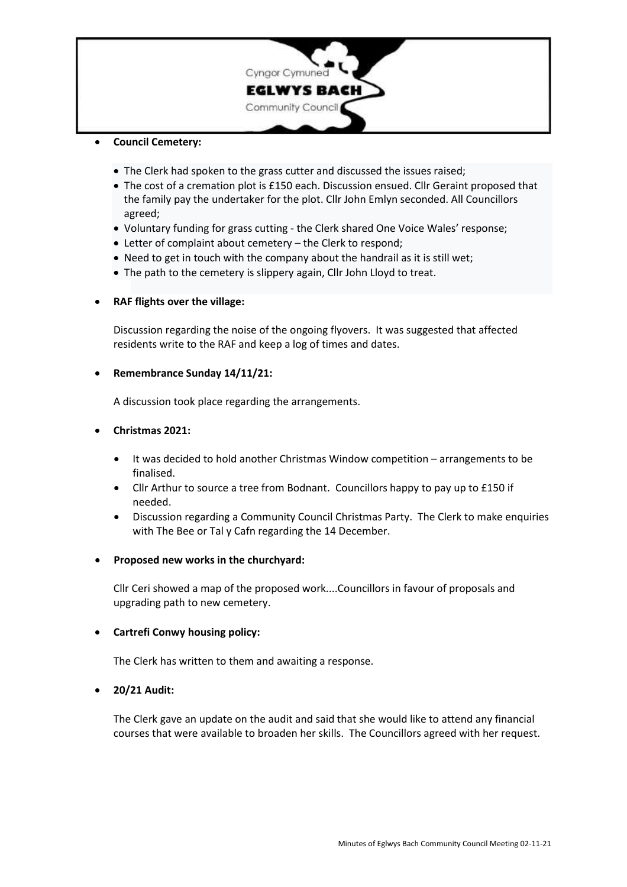

# • **Council Cemetery:**

- The Clerk had spoken to the grass cutter and discussed the issues raised;
- The cost of a cremation plot is £150 each. Discussion ensued. Cllr Geraint proposed that the family pay the undertaker for the plot. Cllr John Emlyn seconded. All Councillors agreed;
- Voluntary funding for grass cutting the Clerk shared One Voice Wales' response;
- Letter of complaint about cemetery the Clerk to respond;
- Need to get in touch with the company about the handrail as it is still wet;
- The path to the cemetery is slippery again, Cllr John Lloyd to treat.

# • **RAF flights over the village:**

Discussion regarding the noise of the ongoing flyovers. It was suggested that affected residents write to the RAF and keep a log of times and dates.

### • **Remembrance Sunday 14/11/21:**

A discussion took place regarding the arrangements.

# • **Christmas 2021:**

- It was decided to hold another Christmas Window competition arrangements to be finalised.
- Cllr Arthur to source a tree from Bodnant. Councillors happy to pay up to £150 if needed.
- Discussion regarding a Community Council Christmas Party. The Clerk to make enquiries with The Bee or Tal y Cafn regarding the 14 December.

#### • **Proposed new works in the churchyard:**

Cllr Ceri showed a map of the proposed work....Councillors in favour of proposals and upgrading path to new cemetery.

# • **Cartrefi Conwy housing policy:**

The Clerk has written to them and awaiting a response.

# • **20/21 Audit:**

The Clerk gave an update on the audit and said that she would like to attend any financial courses that were available to broaden her skills. The Councillors agreed with her request.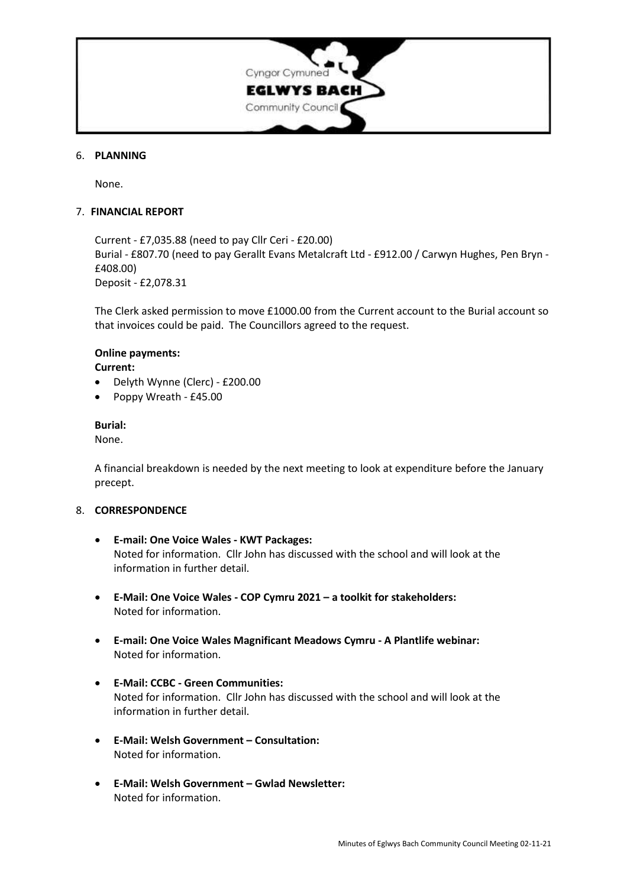

### 6. **PLANNING**

None.

### 7. **FINANCIAL REPORT**

Current - £7,035.88 (need to pay Cllr Ceri - £20.00) Burial - £807.70 (need to pay Gerallt Evans Metalcraft Ltd - £912.00 / Carwyn Hughes, Pen Bryn - £408.00) Deposit - £2,078.31

The Clerk asked permission to move £1000.00 from the Current account to the Burial account so that invoices could be paid. The Councillors agreed to the request.

# **Online payments:**

**Current:**

- Delyth Wynne (Clerc) £200.00
- Poppy Wreath £45.00

### **Burial:**

None.

A financial breakdown is needed by the next meeting to look at expenditure before the January precept.

#### 8. **CORRESPONDENCE**

- **E-mail: One Voice Wales - KWT Packages:** Noted for information. Cllr John has discussed with the school and will look at the information in further detail.
- **E-Mail: One Voice Wales - COP Cymru 2021 – a toolkit for stakeholders:** Noted for information.
- **E-mail: One Voice Wales Magnificant Meadows Cymru - A Plantlife webinar:** Noted for information.
- **E-Mail: CCBC - Green Communities:** Noted for information. Cllr John has discussed with the school and will look at the information in further detail.
- **E-Mail: Welsh Government – Consultation:** Noted for information.
- **E-Mail: Welsh Government – Gwlad Newsletter:** Noted for information.